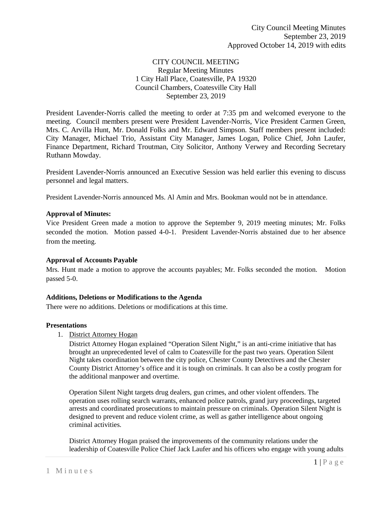## CITY COUNCIL MEETING Regular Meeting Minutes 1 City Hall Place, Coatesville, PA 19320 Council Chambers, Coatesville City Hall September 23, 2019

President Lavender-Norris called the meeting to order at 7:35 pm and welcomed everyone to the meeting. Council members present were President Lavender-Norris, Vice President Carmen Green, Mrs. C. Arvilla Hunt, Mr. Donald Folks and Mr. Edward Simpson. Staff members present included: City Manager, Michael Trio, Assistant City Manager, James Logan, Police Chief, John Laufer, Finance Department, Richard Troutman, City Solicitor, Anthony Verwey and Recording Secretary Ruthann Mowday.

President Lavender-Norris announced an Executive Session was held earlier this evening to discuss personnel and legal matters.

President Lavender-Norris announced Ms. Al Amin and Mrs. Bookman would not be in attendance.

### **Approval of Minutes:**

Vice President Green made a motion to approve the September 9, 2019 meeting minutes; Mr. Folks seconded the motion. Motion passed 4-0-1. President Lavender-Norris abstained due to her absence from the meeting.

#### **Approval of Accounts Payable**

Mrs. Hunt made a motion to approve the accounts payables; Mr. Folks seconded the motion. Motion passed 5-0.

#### **Additions, Deletions or Modifications to the Agenda**

There were no additions. Deletions or modifications at this time.

#### **Presentations**

1. District Attorney Hogan

District Attorney Hogan explained "Operation Silent Night," is an anti-crime initiative that has brought an unprecedented level of calm to Coatesville for the past two years. Operation Silent Night takes coordination between the city police, Chester County Detectives and the Chester County District Attorney's office and it is tough on criminals. It can also be a costly program for the additional manpower and overtime.

Operation Silent Night targets drug dealers, gun crimes, and other violent offenders. The operation uses rolling search warrants, enhanced police patrols, grand jury proceedings, targeted arrests and coordinated prosecutions to maintain pressure on criminals. Operation Silent Night is designed to prevent and reduce violent crime, as well as gather intelligence about ongoing criminal activities.

District Attorney Hogan praised the improvements of the community relations under the leadership of Coatesville Police Chief Jack Laufer and his officers who engage with young adults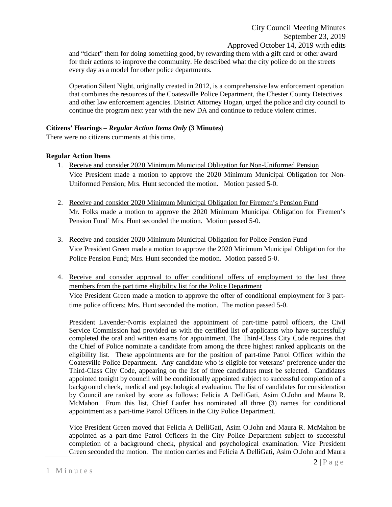and "ticket" them for doing something good, by rewarding them with a gift card or other award for their actions to improve the community. He described what the city police do on the streets every day as a model for other police departments.

Operation Silent Night, originally created in 2012, is a comprehensive law enforcement operation that combines the resources of the Coatesville Police Department, the Chester County Detectives and other law enforcement agencies. District Attorney Hogan, urged the police and city council to continue the program next year with the new DA and continue to reduce violent crimes.

### **Citizens' Hearings –** *Regular Action Items Only* **(3 Minutes)**

There were no citizens comments at this time.

### **Regular Action Items**

- 1. Receive and consider 2020 Minimum Municipal Obligation for Non-Uniformed Pension Vice President made a motion to approve the 2020 Minimum Municipal Obligation for Non-Uniformed Pension; Mrs. Hunt seconded the motion. Motion passed 5-0.
- 2. Receive and consider 2020 Minimum Municipal Obligation for Firemen's Pension Fund Mr. Folks made a motion to approve the 2020 Minimum Municipal Obligation for Firemen's Pension Fund' Mrs. Hunt seconded the motion. Motion passed 5-0.
- 3. Receive and consider 2020 Minimum Municipal Obligation for Police Pension Fund Vice President Green made a motion to approve the 2020 Minimum Municipal Obligation for the Police Pension Fund; Mrs. Hunt seconded the motion. Motion passed 5-0.
- 4. Receive and consider approval to offer conditional offers of employment to the last three members from the part time eligibility list for the Police Department Vice President Green made a motion to approve the offer of conditional employment for 3 parttime police officers; Mrs. Hunt seconded the motion. The motion passed 5-0.

President Lavender-Norris explained the appointment of part-time patrol officers, the Civil Service Commission had provided us with the certified list of applicants who have successfully completed the oral and written exams for appointment. The Third-Class City Code requires that the Chief of Police nominate a candidate from among the three highest ranked applicants on the eligibility list. These appointments are for the position of part-time Patrol Officer within the Coatesville Police Department. Any candidate who is eligible for veterans' preference under the Third-Class City Code, appearing on the list of three candidates must be selected. Candidates appointed tonight by council will be conditionally appointed subject to successful completion of a background check, medical and psychological evaluation. The list of candidates for consideration by Council are ranked by score as follows: Felicia A DelliGati, Asim O.John and Maura R. McMahon From this list, Chief Laufer has nominated all three (3) names for conditional appointment as a part-time Patrol Officers in the City Police Department.

Vice President Green moved that Felicia A DelliGati, Asim O.John and Maura R. McMahon be appointed as a part-time Patrol Officers in the City Police Department subject to successful completion of a background check, physical and psychological examination. Vice President Green seconded the motion. The motion carries and Felicia A DelliGati, Asim O.John and Maura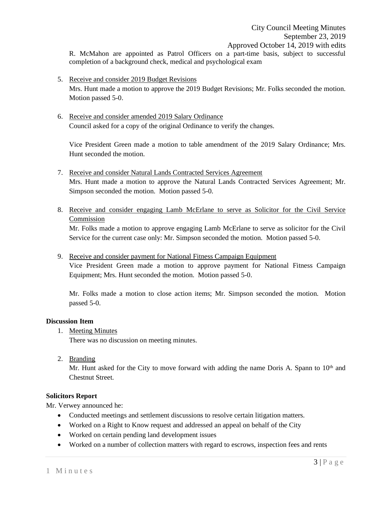R. McMahon are appointed as Patrol Officers on a part-time basis, subject to successful completion of a background check, medical and psychological exam

- 5. Receive and consider 2019 Budget Revisions Mrs. Hunt made a motion to approve the 2019 Budget Revisions; Mr. Folks seconded the motion. Motion passed 5-0.
- 6. Receive and consider amended 2019 Salary Ordinance Council asked for a copy of the original Ordinance to verify the changes.

Vice President Green made a motion to table amendment of the 2019 Salary Ordinance; Mrs. Hunt seconded the motion.

- 7. Receive and consider Natural Lands Contracted Services Agreement Mrs. Hunt made a motion to approve the Natural Lands Contracted Services Agreement; Mr. Simpson seconded the motion. Motion passed 5-0.
- 8. Receive and consider engaging Lamb McErlane to serve as Solicitor for the Civil Service Commission

Mr. Folks made a motion to approve engaging Lamb McErlane to serve as solicitor for the Civil Service for the current case only: Mr. Simpson seconded the motion. Motion passed 5-0.

9. Receive and consider payment for National Fitness Campaign Equipment

Vice President Green made a motion to approve payment for National Fitness Campaign Equipment; Mrs. Hunt seconded the motion. Motion passed 5-0.

Mr. Folks made a motion to close action items; Mr. Simpson seconded the motion. Motion passed 5-0.

## **Discussion Item**

1. Meeting Minutes

There was no discussion on meeting minutes.

2. Branding

Mr. Hunt asked for the City to move forward with adding the name Doris A. Spann to  $10<sup>th</sup>$  and Chestnut Street.

## **Solicitors Report**

Mr. Verwey announced he:

- Conducted meetings and settlement discussions to resolve certain litigation matters.
- Worked on a Right to Know request and addressed an appeal on behalf of the City
- Worked on certain pending land development issues
- Worked on a number of collection matters with regard to escrows, inspection fees and rents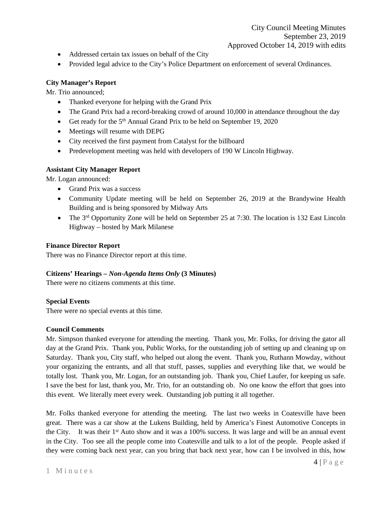- Addressed certain tax issues on behalf of the City
- Provided legal advice to the City's Police Department on enforcement of several Ordinances.

# **City Manager's Report**

Mr. Trio announced;

- Thanked everyone for helping with the Grand Prix
- The Grand Prix had a record-breaking crowd of around 10,000 in attendance throughout the day
- Get ready for the 5<sup>th</sup> Annual Grand Prix to be held on September 19, 2020
- Meetings will resume with DEPG
- City received the first payment from Catalyst for the billboard
- Predevelopment meeting was held with developers of 190 W Lincoln Highway.

## **Assistant City Manager Report**

Mr. Logan announced:

- Grand Prix was a success
- Community Update meeting will be held on September 26, 2019 at the Brandywine Health Building and is being sponsored by Midway Arts
- The 3<sup>rd</sup> Opportunity Zone will be held on September 25 at 7:30. The location is 132 East Lincoln Highway – hosted by Mark Milanese

### **Finance Director Report**

There was no Finance Director report at this time.

## **Citizens' Hearings –** *Non-Agenda Items Only* **(3 Minutes)**

There were no citizens comments at this time.

## **Special Events**

There were no special events at this time.

## **Council Comments**

Mr. Simpson thanked everyone for attending the meeting. Thank you, Mr. Folks, for driving the gator all day at the Grand Prix. Thank you, Public Works, for the outstanding job of setting up and cleaning up on Saturday. Thank you, City staff, who helped out along the event. Thank you, Ruthann Mowday, without your organizing the entrants, and all that stuff, passes, supplies and everything like that, we would be totally lost. Thank you, Mr. Logan, for an outstanding job. Thank you, Chief Laufer, for keeping us safe. I save the best for last, thank you, Mr. Trio, for an outstanding ob. No one know the effort that goes into this event. We literally meet every week. Outstanding job putting it all together.

Mr. Folks thanked everyone for attending the meeting. The last two weeks in Coatesville have been great. There was a car show at the Lukens Building, held by America's Finest Automotive Concepts in the City. It was their  $1<sup>st</sup>$  Auto show and it was a 100% success. It was large and will be an annual event in the City. Too see all the people come into Coatesville and talk to a lot of the people. People asked if they were coming back next year, can you bring that back next year, how can I be involved in this, how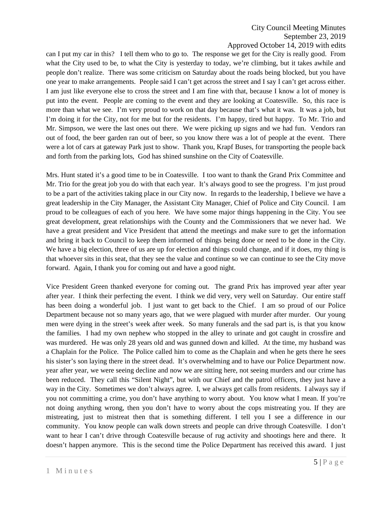# City Council Meeting Minutes September 23, 2019 Approved October 14, 2019 with edits

can I put my car in this? I tell them who to go to. The response we get for the City is really good. From what the City used to be, to what the City is yesterday to today, we're climbing, but it takes awhile and people don't realize. There was some criticism on Saturday about the roads being blocked, but you have one year to make arrangements. People said I can't get across the street and I say I can't get across either. I am just like everyone else to cross the street and I am fine with that, because I know a lot of money is put into the event. People are coming to the event and they are looking at Coatesville. So, this race is more than what we see. I'm very proud to work on that day because that's what it was. It was a job, but I'm doing it for the City, not for me but for the residents. I'm happy, tired but happy. To Mr. Trio and Mr. Simpson, we were the last ones out there. We were picking up signs and we had fun. Vendors ran out of food, the beer garden ran out of beer, so you know there was a lot of people at the event. There were a lot of cars at gateway Park just to show. Thank you, Krapf Buses, for transporting the people back and forth from the parking lots, God has shined sunshine on the City of Coatesville.

Mrs. Hunt stated it's a good time to be in Coatesville. I too want to thank the Grand Prix Committee and Mr. Trio for the great job you do with that each year. It's always good to see the progress. I'm just proud to be a part of the activities taking place in our City now. In regards to the leadership, I believe we have a great leadership in the City Manager, the Assistant City Manager, Chief of Police and City Council. I am proud to be colleagues of each of you here. We have some major things happening in the City. You see great development, great relationships with the County and the Commissioners that we never had. We have a great president and Vice President that attend the meetings and make sure to get the information and bring it back to Council to keep them informed of things being done or need to be done in the City. We have a big election, three of us are up for election and things could change, and if it does, my thing is that whoever sits in this seat, that they see the value and continue so we can continue to see the City move forward. Again, I thank you for coming out and have a good night.

Vice President Green thanked everyone for coming out. The grand Prix has improved year after year after year. I think their perfecting the event. I think we did very, very well on Saturday. Our entire staff has been doing a wonderful job. I just want to get back to the Chief. I am so proud of our Police Department because not so many years ago, that we were plagued with murder after murder. Our young men were dying in the street's week after week. So many funerals and the sad part is, is that you know the families. I had my own nephew who stopped in the alley to urinate and got caught in crossfire and was murdered. He was only 28 years old and was gunned down and killed. At the time, my husband was a Chaplain for the Police. The Police called him to come as the Chaplain and when he gets there he sees his sister's son laying there in the street dead. It's overwhelming and to have our Police Department now. year after year, we were seeing decline and now we are sitting here, not seeing murders and our crime has been reduced. They call this "Silent Night", but with our Chief and the patrol officers, they just have a way in the City. Sometimes we don't always agree. I, we always get calls from residents. I always say if you not committing a crime, you don't have anything to worry about. You know what I mean. If you're not doing anything wrong, then you don't have to worry about the cops mistreating you. If they are mistreating, just to mistreat then that is something different. I tell you I see a difference in our community. You know people can walk down streets and people can drive through Coatesville. I don't want to hear I can't drive through Coatesville because of rug activity and shootings here and there. It doesn't happen anymore. This is the second time the Police Department has received this award. I just